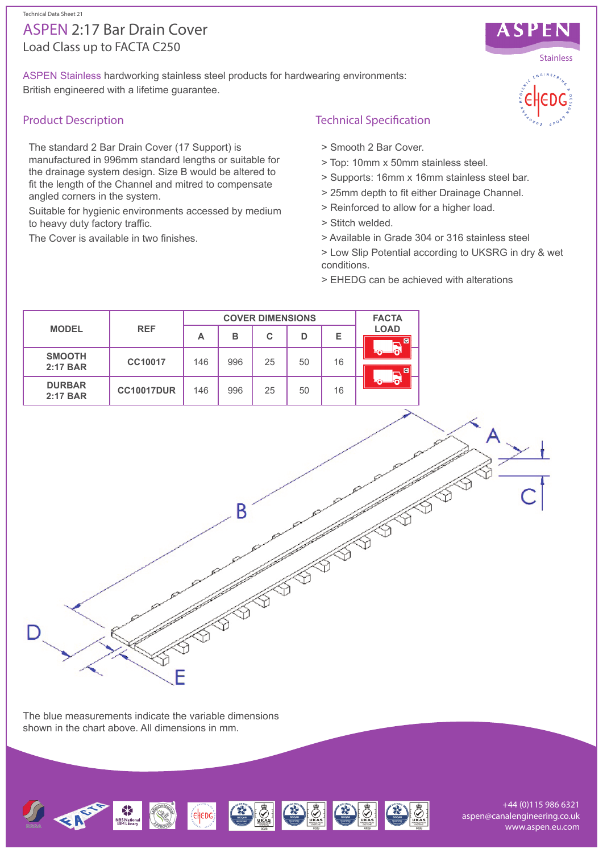#### Technical Data Sheet 21

# Load Class up to FACTA C250 ASPEN 2:17 Bar Drain Cover

ASPEN Stainless hardworking stainless steel products for hardwearing environments: British engineered with a lifetime guarantee.

# Product Description

The standard 2 Bar Drain Cover (17 Support) is manufactured in 996mm standard lengths or suitable for the drainage system design. Size B would be altered to fit the length of the Channel and mitred to compensate angled corners in the system.

Suitable for hygienic environments accessed by medium to heavy duty factory traffic.

The Cover is available in two finishes.

# Technical Specification

- > Smooth 2 Bar Cover.
- > Top: 10mm x 50mm stainless steel.
- > Supports: 16mm x 16mm stainless steel bar.
- > 25mm depth to fit either Drainage Channel.
- > Reinforced to allow for a higher load.
- > Stitch welded.
- > Available in Grade 304 or 316 stainless steel

> Low Slip Potential according to UKSRG in dry & wet conditions.

> EHEDG can be achieved with alterations



The blue measurements indicate the variable dimensions shown in the chart above. All dimensions in mm.



+44 (0)115 986 6321 aspen@canalengineering.co.uk www.aspen.eu.com